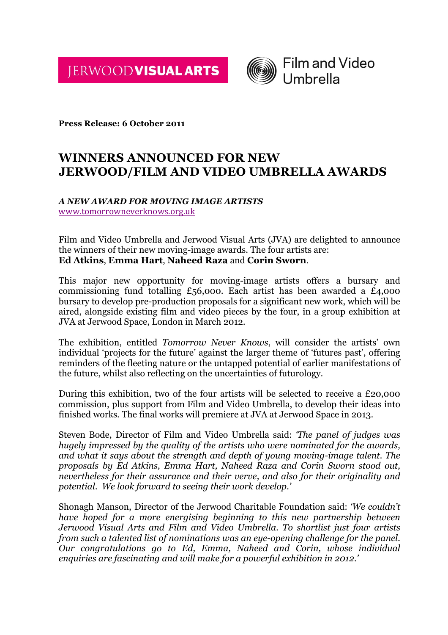JERWOODVISUAL ARTS



**Press Release: 6 October 2011**

## **WINNERS ANNOUNCED FOR NEW JERWOOD/FILM AND VIDEO UMBRELLA AWARDS**

## *A NEW AWARD FOR MOVING IMAGE ARTISTS* www.tomorrowneverknows.org.uk

Film and Video Umbrella and Jerwood Visual Arts (JVA) are delighted to announce the winners of their new moving-image awards. The four artists are: **Ed Atkins**, **Emma Hart**, **Naheed Raza** and **Corin Sworn**.

This major new opportunity for moving-image artists offers a bursary and commissioning fund totalling £56,000. Each artist has been awarded a £4,000 bursary to develop pre-production proposals for a significant new work, which will be aired, alongside existing film and video pieces by the four, in a group exhibition at JVA at Jerwood Space, London in March 2012.

The exhibition, entitled *Tomorrow Never Knows*, will consider the artists' own individual 'projects for the future' against the larger theme of 'futures past', offering reminders of the fleeting nature or the untapped potential of earlier manifestations of the future, whilst also reflecting on the uncertainties of futurology.

During this exhibition, two of the four artists will be selected to receive a £20,000 commission, plus support from Film and Video Umbrella, to develop their ideas into finished works. The final works will premiere at JVA at Jerwood Space in 2013.

Steven Bode, Director of Film and Video Umbrella said: *'The panel of judges was hugely impressed by the quality of the artists who were nominated for the awards, and what it says about the strength and depth of young moving-image talent. The proposals by Ed Atkins, Emma Hart, Naheed Raza and Corin Sworn stood out, nevertheless for their assurance and their verve, and also for their originality and potential. We look forward to seeing their work develop.'*

Shonagh Manson, Director of the Jerwood Charitable Foundation said: *'We couldn't have hoped for a more energising beginning to this new partnership between Jerwood Visual Arts and Film and Video Umbrella. To shortlist just four artists from such a talented list of nominations was an eye-opening challenge for the panel. Our congratulations go to Ed, Emma, Naheed and Corin, whose individual enquiries are fascinating and will make for a powerful exhibition in 2012.'*